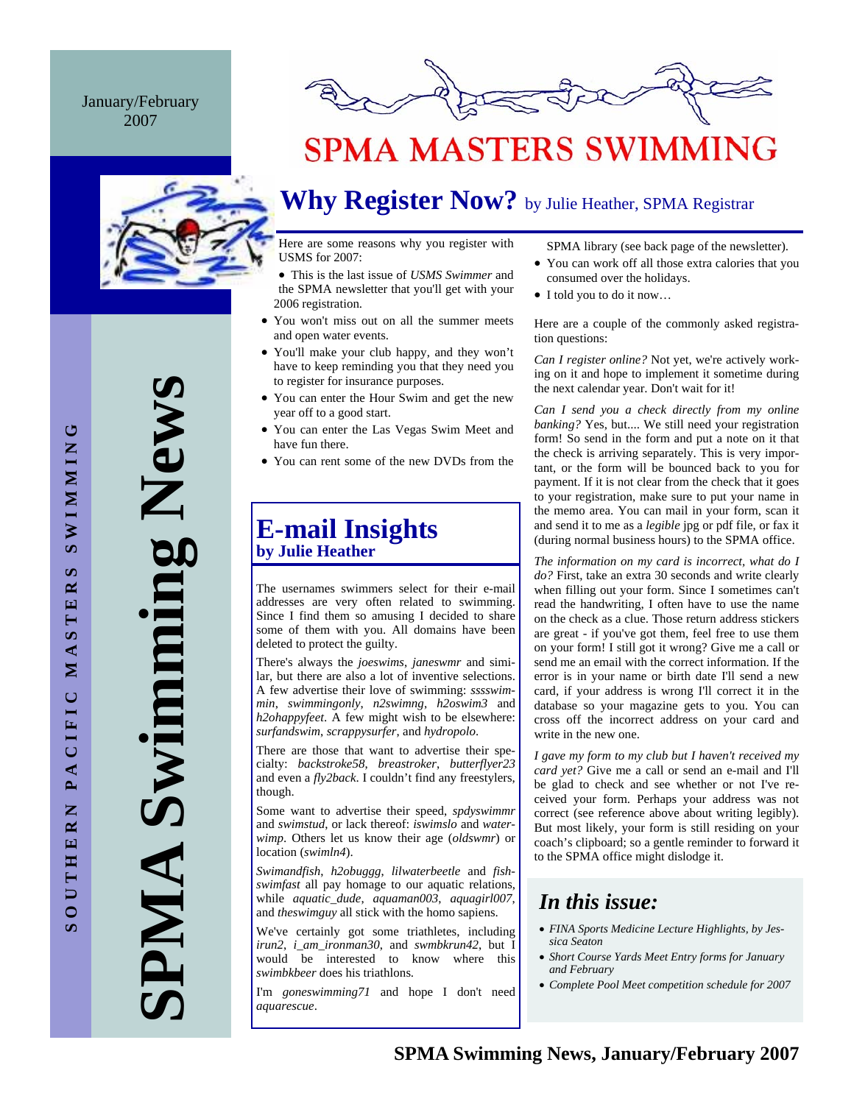### January/February 2007



## **SPMA MASTERS SWIMMING**

## **Why Register Now?** by Julie Heather, SPMA Registrar

Here are some reasons why you register with USMS for 2007:

• This is the last issue of *USMS Swimmer* and the SPMA newsletter that you'll get with your 2006 registration.

- You won't miss out on all the summer meets and open water events.
- You'll make your club happy, and they won't have to keep reminding you that they need you to register for insurance purposes.
- You can enter the Hour Swim and get the new year off to a good start.
- You can enter the Las Vegas Swim Meet and have fun there.
- You can rent some of the new DVDs from the

### **E-mail Insights by Julie Heather**

The usernames swimmers select for their e-mail addresses are very often related to swimming. Since I find them so amusing I decided to share some of them with you. All domains have been deleted to protect the guilty.

There's always the *joeswims*, *janeswmr* and similar, but there are also a lot of inventive selections. A few advertise their love of swimming: *sssswimmin*, *swimmingonly*, *n2swimng*, *h2oswim3* and *h2ohappyfeet*. A few might wish to be elsewhere: *surfandswim*, *scrappysurfer*, and *hydropolo*.

There are those that want to advertise their specialty: *backstroke58*, *breastroker*, *butterflyer23*  and even a *fly2back*. I couldn't find any freestylers, though.

Some want to advertise their speed, *spdyswimmr*  and *swimstud*, or lack thereof: *iswimslo* and *waterwimp*. Others let us know their age (*oldswmr*) or location (*swimln4*).

*Swimandfish*, *h2obuggg*, *lilwaterbeetle* and *fishswimfast* all pay homage to our aquatic relations, while *aquatic\_dude*, *aquaman003*, *aquagirl007*, and *theswimguy* all stick with the homo sapiens.

We've certainly got some triathletes, including *irun2*, *i\_am\_ironman30*, and *swmbkrun42*, but I would be interested to know where this *swimbkbeer* does his triathlons.

I'm *goneswimming71* and hope I don't need *aquarescue*.

SPMA library (see back page of the newsletter).

- You can work off all those extra calories that you consumed over the holidays.
- I told you to do it now…

Here are a couple of the commonly asked registration questions:

*Can I register online?* Not yet, we're actively working on it and hope to implement it sometime during the next calendar year. Don't wait for it!

*Can I send you a check directly from my online banking?* Yes, but.... We still need your registration form! So send in the form and put a note on it that the check is arriving separately. This is very important, or the form will be bounced back to you for payment. If it is not clear from the check that it goes to your registration, make sure to put your name in the memo area. You can mail in your form, scan it and send it to me as a *legible* jpg or pdf file, or fax it (during normal business hours) to the SPMA office.

*The information on my card is incorrect, what do I do?* First, take an extra 30 seconds and write clearly when filling out your form. Since I sometimes can't read the handwriting, I often have to use the name on the check as a clue. Those return address stickers are great - if you've got them, feel free to use them on your form! I still got it wrong? Give me a call or send me an email with the correct information. If the error is in your name or birth date I'll send a new card, if your address is wrong I'll correct it in the database so your magazine gets to you. You can cross off the incorrect address on your card and write in the new one.

*I gave my form to my club but I haven't received my card yet?* Give me a call or send an e-mail and I'll be glad to check and see whether or not I've received your form. Perhaps your address was not correct (see reference above about writing legibly). But most likely, your form is still residing on your coach's clipboard; so a gentle reminder to forward it to the SPMA office might dislodge it.

### *In this issue:*

- *FINA Sports Medicine Lecture Highlights, by Jessica Seaton*
- *Short Course Yards Meet Entry forms for January and February*
- *Complete Pool Meet competition schedule for 2007*

**SPMA Swimming News** 

AIMP

Swimming New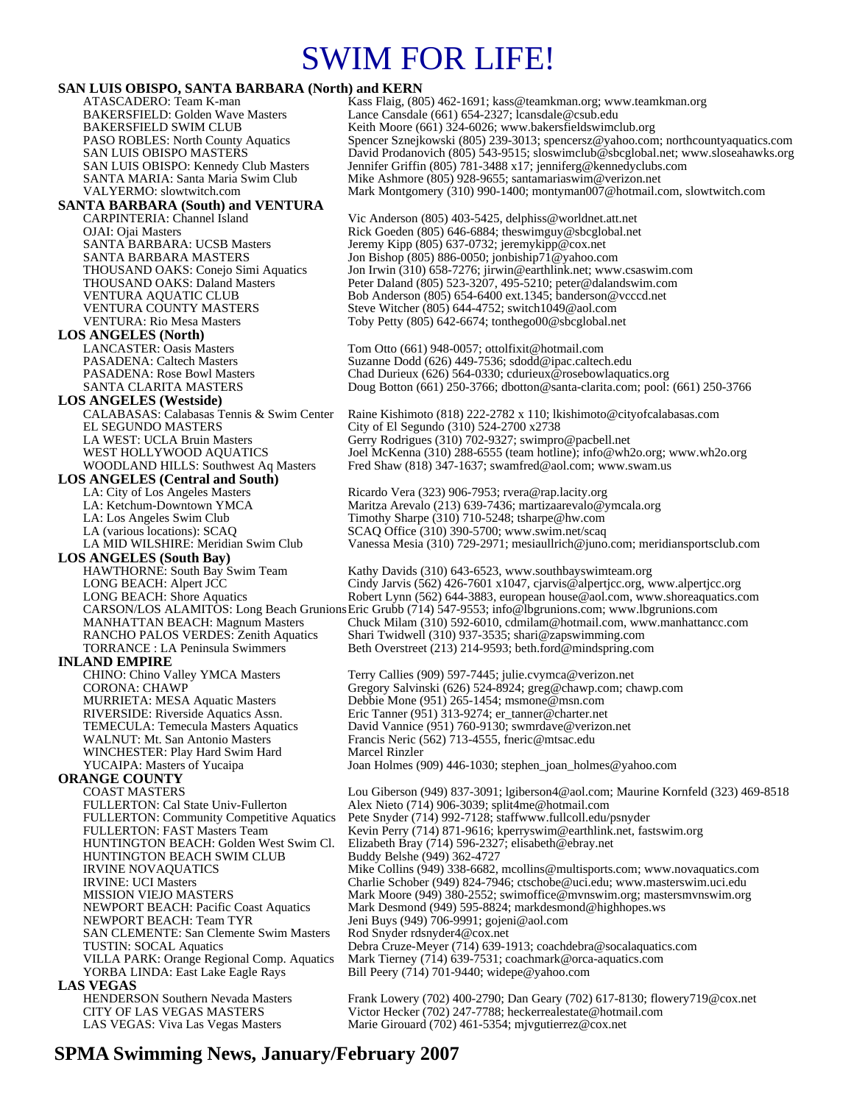## SWIM FOR LIFE!

#### **SAN LUIS OBISPO, SANTA BARBARA (North) and KERN**

ATASCADERO: Team K-man Kass Flaig, (805) 462-1691; kass@teamkman.org; www.teamkman.org<br>BAKERSFIELD: Golden Wave Masters Lance Cansdale (661) 654-2327; lcansdale@csub.edu Lance Cansdale (661) 654-2327; lcansdale@csub.edu BAKERSFIELD SWIM CLUB<br>
PASO ROBLES: North County Aquatics Spencer Sznejkowski (805) 239-3013; spencersz@yahoo.com PASO ROBLES: North County Aquatics Spencer Sznejkowski (805) 239-3013; spencersz@yahoo.com; northcountyaquatics.com<br>SAN LUIS OBISPO MASTERS David Prodanovich (805) 543-9515; sloswimclub@sbcglobal.net; www.sloseahawks.org SAN LUIS OBISPO MASTERS David Prodanovich (805) 543-9515; sloswimclub@sbcglobal.net; www.sloseahawks.org<br>SAN LUIS OBISPO: Kennedy Club Masters Jennifer Griffin (805) 781-3488 x17; jenniferg@kennedyclubs.com Jennifer Griffin (805) 781-3488 x17; jenniferg@kennedyclubs.com SANTA MARIA: Santa Maria Swim Club Mike Ashmore (805) 928-9655; santamariaswim@verizon.net<br>VALYERMO: slowtwitch.com Mark Montgomery (310) 990-1400; montyman007@hotmail.c Mark Montgomery (310) 990-1400; montyman007@hotmail.com, slowtwitch.com **SANTA BARBARA (South) and VENTURA**  CARPINTERIA: Channel Island Vic Anderson (805) 403-5425, delphiss@worldnet.att.net<br>
OJAI: Ojai Masters Rick Goeden (805) 646-6884; theswimguy@sbcglobal.net Rick Goeden (805) 646-6884; theswimguy@sbcglobal.net SANTA BARBARA: UCSB Masters Jeremy Kipp (805) 637-0732; jeremykipp@cox.net<br>SANTA BARBARA MASTERS Jon Bishop (805) 886-0050; jonbiship71@yahoo.co SANTA BARBARA MASTERS Jon Bishop (805) 886-0050; jonbiship71@yahoo.com<br>THOUSAND OAKS: Conejo Simi Aquatics Jon Irwin (310) 658-7276; jirwin@earthlink.net; www THOUSAND OAKS: Conejo Simi Aquatics Jon Irwin (310) 658-7276; jirwin@earthlink.net; www.csaswim.com<br>THOUSAND OAKS: Daland Masters Peter Daland (805) 523-3207, 495-5210; peter@dalandswim.com Peter Daland (805) 523-3207, 495-5210; peter@dalandswim.com VENTURA AQUATIC CLUB Bob Anderson (805) 654-6400 ext.1345; banderson @vcccd.net<br>VENTURA COUNTY MASTERS Steve Witcher (805) 644-4752; switch1049@aol.com VENTURA COUNTY MASTERS<br>VENTURA: Rio Mesa Masters Steve Witcher (805) 644-4752; switch1049@aol.com<br>Toby Petty (805) 642-6674; tonthego00@sbcglobal.no Toby Petty (805) 642-6674; tonthego00@sbcglobal.net **LOS ANGELES (North)**  LANCASTER: Oasis Masters Tom Otto (661) 948-0057; ottolfixit@hotmail.com PASADENA: Caltech Masters Suzanne Dodd (626) 449-7536; sdodd@ipac.caltech.edu PASADENA: Rose Bowl Masters Chad Durieux (626) 564-0330; cdurieux@rosebowlaquatics.org<br>SANTA CLARITA MASTERS Doug Botton (661) 250-3766; dbotton@santa-clarita.com; pool: Doug Botton (661) 250-3766; dbotton@santa-clarita.com; pool: (661) 250-3766 **LOS ANGELES (Westside)** CALABASAS: Calabasas Tennis & Swim Center Raine Kishimoto (818) 222-2782 x 110; lkishimoto@cityofcalabasas.com City of El Segundo (310) 524-2700 x2738 LA WEST: UCLA Bruin Masters Gerry Rodrigues (310) 702-9327; swimpro@pacbell.net<br>WEST HOLLYWOOD AQUATICS Joel McKenna (310) 288-6555 (team hotline); info@wh2 WEST HOLLYWOOD AQUATICS Joel McKenna (310) 288-6555 (team hotline); info@wh2o.org; www.wh2o.org<br>WOODLAND HILLS: Southwest Aq Masters Fred Shaw (818) 347-1637; swamfred@aol.com; www.swam.us Fred Shaw (818) 347-1637; swamfred@aol.com; www.swam.us **LOS ANGELES (Central and South)**  LA: City of Los Angeles Masters **Ricardo Vera (323) 906-7953; rvera@rap.lacity.org**<br>
LA: Ketchum-Downtown YMCA Maritza Arevalo (213) 639-7436; martizaarevalo@y Maritza Arevalo (213) 639-7436; martizaarevalo@ymcala.org LA: Los Angeles Swim Club Timothy Sharpe (310) 710-5248; tsharpe@hw.com LA (various locations): SCAQ  $SCAQ$  SCAQ Office (310) 390-5700; www.swim.net/scaq<br>LA MID WILSHIRE: Meridian Swim Club Vanessa Mesia (310) 729-2971; mesiaullrich@juno Vanessa Mesia (310) 729-2971; mesiaullrich@juno.com; meridiansportsclub.com **LOS ANGELES (South Bay)**  Kathy Davids (310) 643-6523, www.southbayswimteam.org LONG BEACH: Alpert JCC Cindy Jarvis (562) 426-7601 x1047, cjarvis @alpertjcc.org, www.alpertjcc.org<br>LONG BEACH: Shore Aquatics Robert Lynn (562) 644-3883, european house @aol.com, www.shoreaquatics.c Robert Lynn (562) 644-3883, european house@aol.com, www.shoreaquatics.com CARSON/LOS ALAMITOS: Long Beach Grunions Eric Grubb (714) 547-9553; info@lbgrunions.com; www.lbgrunions.com Chuck Milam (310) 592-6010, cdmilam@hotmail.com, www.manhattancc.com RANCHO PALOS VERDES: Zenith Aquatics Shari Twidwell (310) 937-3535; shari@zapswimming.com TORRANCE : LA Peninsula Swimmers Beth Overstreet (213) 214-9593; beth.ford@mindspring.com **INLAND EMPIRE**<br>CHINO: Chino Valley YMCA Masters CHINO: Chino Valley YMCA Masters Terry Callies (909) 597-7445; julie.cvymca@verizon.net<br>CORONA: CHAWP Gregory Salvinski (626) 524-8924; greg@chawp.com; ch Gregory Salvinski (626) 524-8924; greg@chawp.com; chawp.com MURRIETA: MESA Aquatic Masters Debbie Mone (951) 265-1454; msmone@msn.com RIVERSIDE: Riverside Aquatics Assn. Eric Tanner (951) 313-9274; er\_tanner@charter.net TEMECULA: Temecula Masters Aquatics David Vannice (951) 760-9130; swmrdave@verizon.net<br>WALNUT: Mt. San Antonio Masters Francis Neric (562) 713-4555, fneric@mtsac.edu Francis Neric (562) 713-4555, fneric@mtsac.edu WINCHESTER: Play Hard Swim Hard Marcel Rinzler<br>YUCAIPA: Masters of Yucaipa Joan Holmes (9 Joan Holmes (909) 446-1030; stephen\_joan\_holmes@yahoo.com **ORANGE COUNTY**  COAST MASTERS Lou Giberson (949) 837-3091; lgiberson4@aol.com; Maurine Kornfeld (323) 469-8518<br>FULLERTON: Cal State Univ-Fullerton Alex Nieto (714) 906-3039; split4me@hotmail.com FULLERTON: Cal State Univ-Fullerton Alex Nieto (714) 906-3039; split4me@hotmail.com Pete Snyder (714) 992-7128; staffwww.fullcoll.edu/psnyder FULLERTON: FAST Masters Team Kevin Perry (714) 871-9616; kperryswim@earthlink.net, fastswim.org<br>HUNTINGTON BEACH: Golden West Swim Cl. Elizabeth Bray (714) 596-2327; elisabeth@ebray.net Elizabeth Bray (714) 596-2327; elisabeth@ebray.net<br>Buddy Belshe (949) 362-4727 HUNTINGTON BEACH SWIM CLUB IRVINE NOVAQUATICS Mike Collins (949) 338-6682, mcollins@multisports.com; www.novaquatics.com IRVINE: UCI Masters **Charlie Schober (949) 824-7946; ctschobe@uci.edu**; www.masterswim.uci.edu<br>MISSION VIEJO MASTERS Mark Moore (949) 380-2552: swimoffice@mynswim.org: mastersmynswim.org MISSION VIEJO MASTERS<br>Mark Moore (949) 380-2552; swimoffice@mvnswim.org; mastersmvnswim.org<br>NEWPORT BEACH: Pacific Coast Aquatics Mark Desmond (949) 595-8824; markdesmond@highhopes.ws NEWPORT BEACH: Pacific Coast Aquatics Mark Desmond (949) 595-8824; markdesmond@highhopes.ws<br>NEWPORT BEACH: Team TYR Jeni Buys (949) 706-9991; gojeni@aol.com Jeni Buys (949) 706-9991; gojeni@aol.com SAN CLEMENTE: San Clemente Swim Masters Rod Snyder rdsnyder4@cox.net<br>TUSTIN: SOCAL Aquatics Debra Cruze-Meyer (714) 639-1 TUSTIN: SOCAL Aquatics Debra Cruze-Meyer (714) 639-1913; coachdebra@socalaquatics.com VILLA PARK: Orange Regional Comp. Aquatics Mark Tierney (714) 639-7531; coachmark@orca-aquatics.com Bill Peery (714) 701-9440; widepe@yahoo.com **LAS VEGAS**  HENDERSON Southern Nevada Masters Frank Lowery (702) 400-2790; Dan Geary (702) 617-8130; flowery719@cox.net<br>CITY OF LAS VEGAS MASTERS Victor Hecker (702) 247-7788; heckerrealestate@hotmail.com CITY OF LAS VEGAS MASTERS Victor Hecker (702) 247-7788; heckerrealestate@hotmail.com<br>LAS VEGAS: Viva Las Vegas Masters Marie Girouard (702) 461-5354; mjvgutierrez@cox.net Marie Girouard (702) 461-5354; mjvgutierrez@cox.net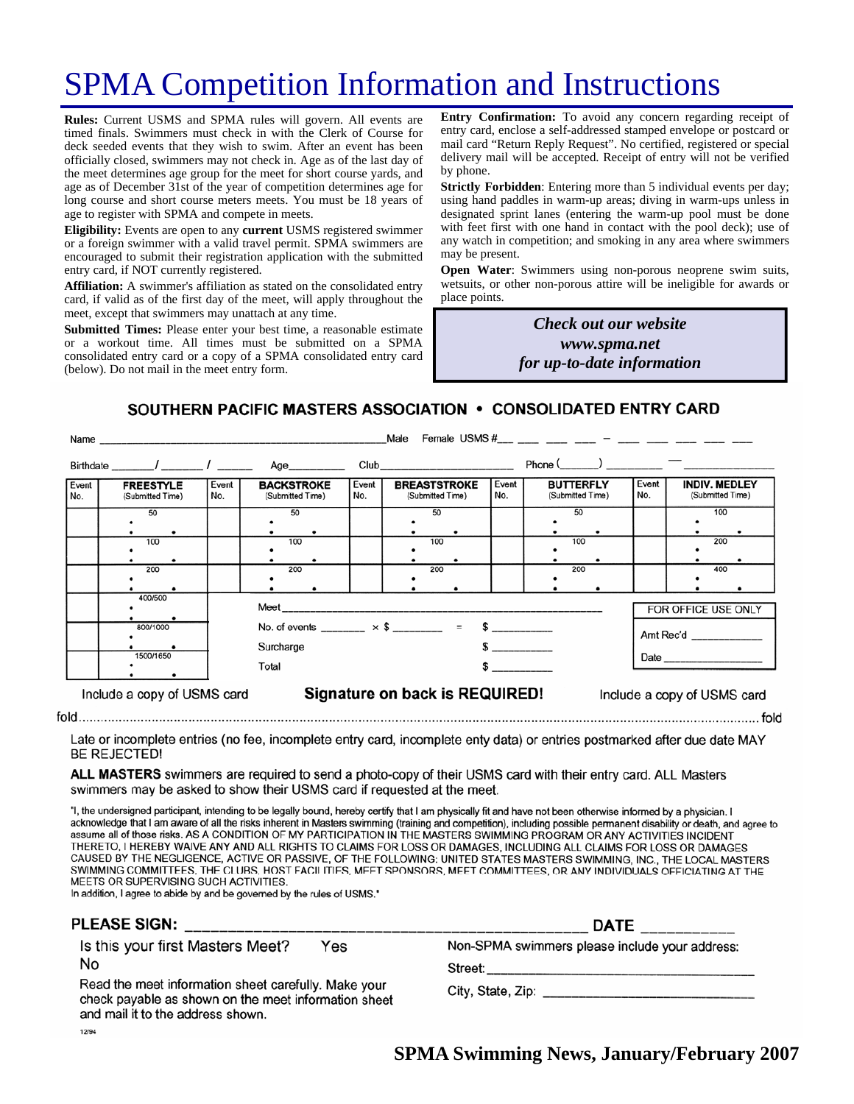## SPMA Competition Information and Instructions

**Rules:** Current USMS and SPMA rules will govern. All events are timed finals. Swimmers must check in with the Clerk of Course for deck seeded events that they wish to swim. After an event has been officially closed, swimmers may not check in. Age as of the last day of the meet determines age group for the meet for short course yards, and age as of December 31st of the year of competition determines age for long course and short course meters meets. You must be 18 years of age to register with SPMA and compete in meets.

**Eligibility:** Events are open to any **current** USMS registered swimmer or a foreign swimmer with a valid travel permit. SPMA swimmers are encouraged to submit their registration application with the submitted entry card, if NOT currently registered.

**Affiliation:** A swimmer's affiliation as stated on the consolidated entry card, if valid as of the first day of the meet, will apply throughout the meet, except that swimmers may unattach at any time.

**Submitted Times:** Please enter your best time, a reasonable estimate or a workout time. All times must be submitted on a SPMA consolidated entry card or a copy of a SPMA consolidated entry card (below). Do not mail in the meet entry form.

**Entry Confirmation:** To avoid any concern regarding receipt of entry card, enclose a self-addressed stamped envelope or postcard or mail card "Return Reply Request". No certified, registered or special delivery mail will be accepted. Receipt of entry will not be verified by phone.

**Strictly Forbidden**: Entering more than 5 individual events per day; using hand paddles in warm-up areas; diving in warm-ups unless in designated sprint lanes (entering the warm-up pool must be done with feet first with one hand in contact with the pool deck); use of any watch in competition; and smoking in any area where swimmers may be present.

**Open Water**: Swimmers using non-porous neoprene swim suits, wetsuits, or other non-porous attire will be ineligible for awards or place points.

> *Check out our website www.spma.net for up-to-date information*

SOUTHERN PACIFIC MASTERS ASSOCIATION • CONSOLIDATED ENTRY CARD

|              | Name                                 |              |                                       |              | Male                                                       |              | Female USMS $\#$ $-$                 |              |                                          |
|--------------|--------------------------------------|--------------|---------------------------------------|--------------|------------------------------------------------------------|--------------|--------------------------------------|--------------|------------------------------------------|
|              |                                      |              | Age___________                        |              |                                                            |              | $Phone($ $)$ $)$ $)$                 |              |                                          |
| Event<br>No. | <b>FREESTYLE</b><br>(Submitted Time) | Event<br>No. | <b>BACKSTROKE</b><br>(Submitted Time) | Event<br>No. | <b>BREASTSTROKE</b><br>(Submitted Time)                    | Event<br>No. | <b>BUTTERFLY</b><br>(Submitted Time) | Event<br>No. | <b>INDIV. MEDLEY</b><br>(Submitted Time) |
|              | 50                                   |              | 50                                    |              | 50                                                         |              | 50                                   |              | 100                                      |
|              | 100                                  |              | 100                                   |              | 100                                                        |              | 100                                  |              | 200                                      |
|              | 200                                  |              | 200                                   |              | 200                                                        |              | 200                                  |              | 400                                      |
|              | 400/500                              |              |                                       |              |                                                            |              |                                      |              | FOR OFFICE USE ONLY                      |
|              | 800/1000                             |              | Surcharge                             |              | No. of events ________ $\times$ \$ ________ = \$ _________ |              |                                      |              | Amt Rec'd                                |
|              | 1500/1650                            |              | Total                                 |              |                                                            | $\sim$       |                                      |              |                                          |
|              | Include a copy of USMS card          |              |                                       |              | Signature on back is REQUIRED!                             |              |                                      |              | Include a copy of USMS card              |
|              |                                      |              |                                       |              |                                                            |              |                                      |              | fold                                     |

Late or incomplete entries (no fee, incomplete entry card, incomplete enty data) or entries postmarked after due date MAY **BE REJECTED!** 

ALL MASTERS swimmers are required to send a photo-copy of their USMS card with their entry card. ALL Masters swimmers may be asked to show their USMS card if requested at the meet.

"I, the undersigned participant, intending to be legally bound, hereby certify that I am physically fit and have not been otherwise informed by a physician. I acknowledge that I am aware of all the risks inherent in Masters swimming (training and competition), including possible permanent disability or death, and agree to assume all of those risks. AS A CONDITION OF MY PARTICIPATION IN THE MASTERS SWIMMING PROGRAM OR ANY ACTIVITIES INCIDENT THERETO, I HEREBY WAIVE ANY AND ALL RIGHTS TO CLAIMS FOR LOSS OR DAMAGES, INCLUDING ALL CLAIMS FOR LOSS OR DAMAGES CAUSED BY THE NEGLIGENCE, ACTIVE OR PASSIVE, OF THE FOLLOWING: UNITED STATES MASTERS SWIMMING, INC., THE LOCAL MASTERS SWIMMING COMMITTEES, THE CLUBS, HOST FACILITIES, MEET SPONSORS, MEET COMMITTEES, OR ANY INDIVIDUALS OFFICIATING AT THE MEETS OR SUPERVISING SUCH ACTIVITIES.

In addition, I agree to abide by and be governed by the rules of USMS."

| <b>PLEASE SIGN:</b>                                                                                                                               | <b>DATE</b>                                    |  |  |
|---------------------------------------------------------------------------------------------------------------------------------------------------|------------------------------------------------|--|--|
| Is this your first Masters Meet?<br>Yes                                                                                                           | Non-SPMA swimmers please include your address: |  |  |
| No                                                                                                                                                | Street:                                        |  |  |
| Read the meet information sheet carefully. Make your<br>check payable as shown on the meet information sheet<br>and mail it to the address shown. |                                                |  |  |
| 12/94                                                                                                                                             |                                                |  |  |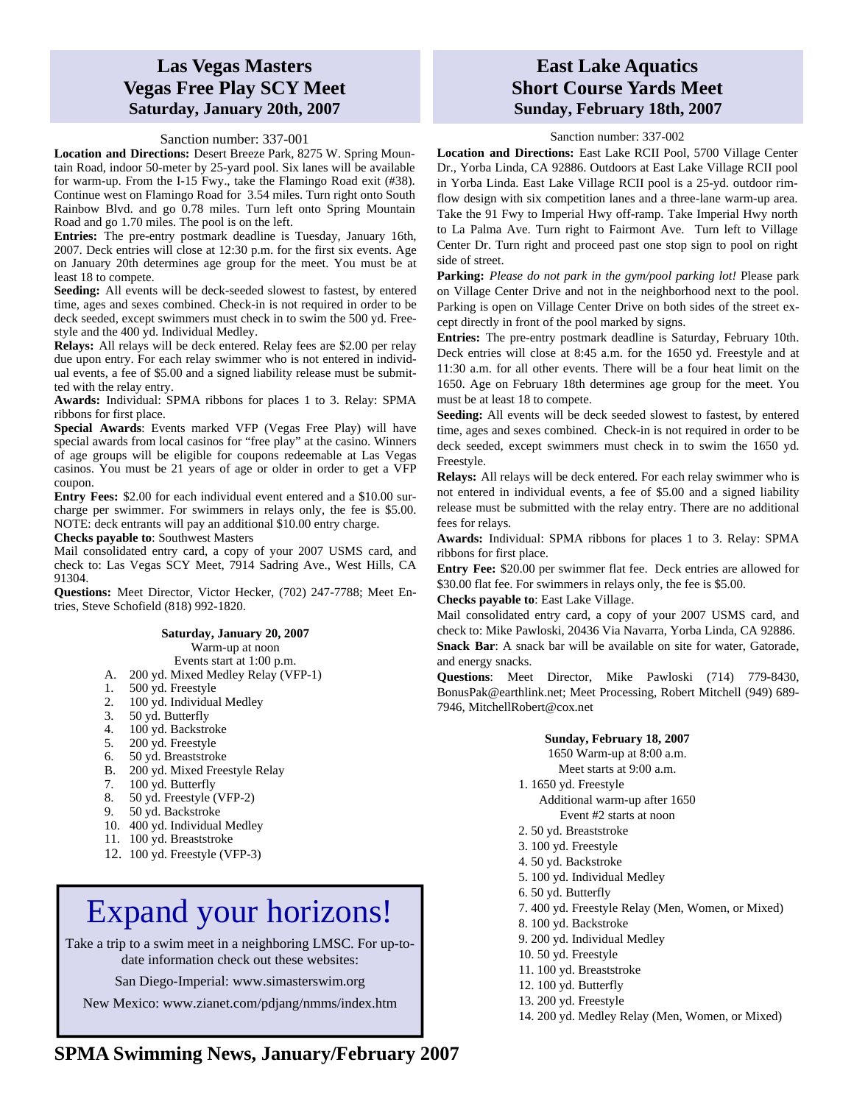### **Las Vegas Masters Vegas Free Play SCY Meet Saturday, January 20th, 2007**

#### Sanction number: 337-001

**Location and Directions:** Desert Breeze Park, 8275 W. Spring Mountain Road, indoor 50-meter by 25-yard pool. Six lanes will be available for warm-up. From the I-15 Fwy., take the Flamingo Road exit (#38). Continue west on Flamingo Road for 3.54 miles. Turn right onto South Rainbow Blvd. and go 0.78 miles. Turn left onto Spring Mountain Road and go 1.70 miles. The pool is on the left.

**Entries:** The pre-entry postmark deadline is Tuesday, January 16th, 2007. Deck entries will close at 12:30 p.m. for the first six events. Age on January 20th determines age group for the meet. You must be at least 18 to compete.

Seeding: All events will be deck-seeded slowest to fastest, by entered time, ages and sexes combined. Check-in is not required in order to be deck seeded, except swimmers must check in to swim the 500 yd. Freestyle and the 400 yd. Individual Medley.

**Relays:** All relays will be deck entered. Relay fees are \$2.00 per relay due upon entry. For each relay swimmer who is not entered in individual events, a fee of \$5.00 and a signed liability release must be submitted with the relay entry.

**Awards:** Individual: SPMA ribbons for places 1 to 3. Relay: SPMA ribbons for first place.

**Special Awards**: Events marked VFP (Vegas Free Play) will have special awards from local casinos for "free play" at the casino. Winners of age groups will be eligible for coupons redeemable at Las Vegas casinos. You must be 21 years of age or older in order to get a VFP coupon.

**Entry Fees:** \$2.00 for each individual event entered and a \$10.00 surcharge per swimmer. For swimmers in relays only, the fee is \$5.00. NOTE: deck entrants will pay an additional \$10.00 entry charge.

**Checks payable to**: Southwest Masters

Mail consolidated entry card, a copy of your 2007 USMS card, and check to: Las Vegas SCY Meet, 7914 Sadring Ave., West Hills, CA 91304.

**Questions:** Meet Director, Victor Hecker, (702) 247-7788; Meet Entries, Steve Schofield (818) 992-1820.

#### **Saturday, January 20, 2007**

Warm-up at noon

Events start at 1:00 p.m.

- A. 200 yd. Mixed Medley Relay (VFP-1)
- 1. 500 yd. Freestyle
- 2. 100 yd. Individual Medley
- 3. 50 yd. Butterfly
- 4. 100 yd. Backstroke<br>5. 200 yd. Freestyle<br>6. 50 yd. Breaststroke
- 200 yd. Freestyle
- 6. 50 yd. Breaststroke
- B. 200 yd. Mixed Freestyle Relay
- 7. 100 yd. Butterfly
- 8. 50 yd. Freestyle (VFP-2)
- 9. 50 yd. Backstroke
- 10. 400 yd. Individual Medley
- 11. 100 yd. Breaststroke
- 12. 100 yd. Freestyle (VFP-3)

## Expand your horizons!

Take a trip to a swim meet in a neighboring LMSC. For up-todate information check out these websites:

San Diego-Imperial: www.simasterswim.org

New Mexico: www.zianet.com/pdjang/nmms/index.htm

### **East Lake Aquatics Short Course Yards Meet Sunday, February 18th, 2007**

#### Sanction number: 337-002

**Location and Directions:** East Lake RCII Pool, 5700 Village Center Dr., Yorba Linda, CA 92886. Outdoors at East Lake Village RCII pool in Yorba Linda. East Lake Village RCII pool is a 25-yd. outdoor rimflow design with six competition lanes and a three-lane warm-up area. Take the 91 Fwy to Imperial Hwy off-ramp. Take Imperial Hwy north to La Palma Ave. Turn right to Fairmont Ave. Turn left to Village Center Dr. Turn right and proceed past one stop sign to pool on right side of street.

**Parking:** *Please do not park in the gym/pool parking lot!* Please park on Village Center Drive and not in the neighborhood next to the pool. Parking is open on Village Center Drive on both sides of the street except directly in front of the pool marked by signs.

**Entries:** The pre-entry postmark deadline is Saturday, February 10th. Deck entries will close at 8:45 a.m. for the 1650 yd. Freestyle and at 11:30 a.m. for all other events. There will be a four heat limit on the 1650. Age on February 18th determines age group for the meet. You must be at least 18 to compete.

**Seeding:** All events will be deck seeded slowest to fastest, by entered time, ages and sexes combined. Check-in is not required in order to be deck seeded, except swimmers must check in to swim the 1650 yd. Freestyle.

**Relays:** All relays will be deck entered. For each relay swimmer who is not entered in individual events, a fee of \$5.00 and a signed liability release must be submitted with the relay entry. There are no additional fees for relays.

**Awards:** Individual: SPMA ribbons for places 1 to 3. Relay: SPMA ribbons for first place.

**Entry Fee:** \$20.00 per swimmer flat fee. Deck entries are allowed for \$30.00 flat fee. For swimmers in relays only, the fee is \$5.00.

**Checks payable to**: East Lake Village.

Mail consolidated entry card, a copy of your 2007 USMS card, and check to: Mike Pawloski, 20436 Via Navarra, Yorba Linda, CA 92886. **Snack Bar**: A snack bar will be available on site for water, Gatorade, and energy snacks.

**Questions**: Meet Director, Mike Pawloski (714) 779-8430, BonusPak@earthlink.net; Meet Processing, Robert Mitchell (949) 689- 7946, MitchellRobert@cox.net

#### **Sunday, February 18, 2007**

1650 Warm-up at 8:00 a.m.

- Meet starts at 9:00 a.m.
- 1. 1650 yd. Freestyle Additional warm-up after 1650
	- Event #2 starts at noon
- 2. 50 yd. Breaststroke
- 3. 100 yd. Freestyle
- 4. 50 yd. Backstroke
- 5. 100 yd. Individual Medley
- 6. 50 yd. Butterfly

7. 400 yd. Freestyle Relay (Men, Women, or Mixed)

- 8. 100 yd. Backstroke
- 9. 200 yd. Individual Medley
- 10. 50 yd. Freestyle
- 11. 100 yd. Breaststroke
- 12. 100 yd. Butterfly
- 13. 200 yd. Freestyle
- 14. 200 yd. Medley Relay (Men, Women, or Mixed)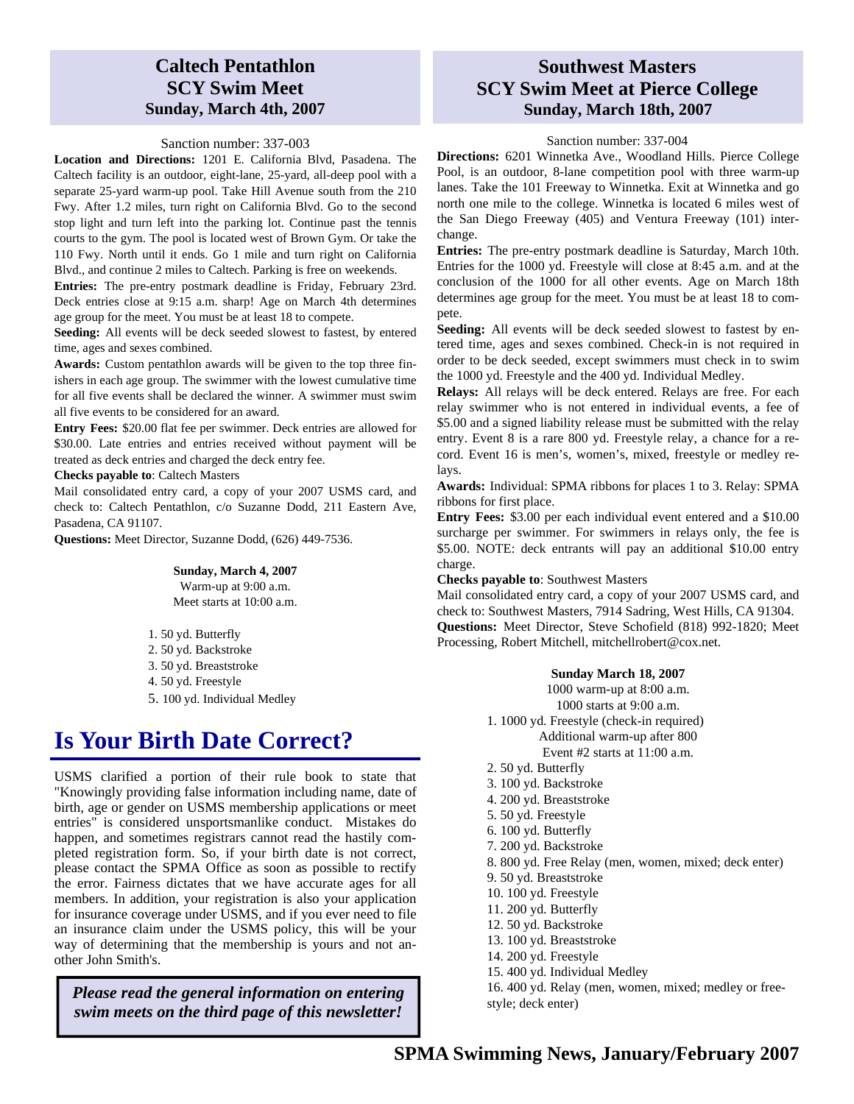### **Caltech Pentathlon SCY Swim Meet Sunday, March 4th, 2007**

#### Sanction number: 337-003

**Location and Directions:** 1201 E. California Blvd, Pasadena. The Caltech facility is an outdoor, eight-lane, 25-yard, all-deep pool with a separate 25-yard warm-up pool. Take Hill Avenue south from the 210 Fwy. After 1.2 miles, turn right on California Blvd. Go to the second stop light and turn left into the parking lot. Continue past the tennis courts to the gym. The pool is located west of Brown Gym. Or take the 110 Fwy. North until it ends. Go 1 mile and turn right on California Blvd., and continue 2 miles to Caltech. Parking is free on weekends.

**Entries:** The pre-entry postmark deadline is Friday, February 23rd. Deck entries close at 9:15 a.m. sharp! Age on March 4th determines age group for the meet. You must be at least 18 to compete.

**Seeding:** All events will be deck seeded slowest to fastest, by entered time, ages and sexes combined.

**Awards:** Custom pentathlon awards will be given to the top three finishers in each age group. The swimmer with the lowest cumulative time for all five events shall be declared the winner. A swimmer must swim all five events to be considered for an award.

**Entry Fees:** \$20.00 flat fee per swimmer. Deck entries are allowed for \$30.00. Late entries and entries received without payment will be treated as deck entries and charged the deck entry fee.

#### **Checks payable to**: Caltech Masters

Mail consolidated entry card, a copy of your 2007 USMS card, and check to: Caltech Pentathlon, c/o Suzanne Dodd, 211 Eastern Ave, Pasadena, CA 91107.

**Questions:** Meet Director, Suzanne Dodd, (626) 449-7536.

#### **Sunday, March 4, 2007**

Warm-up at 9:00 a.m. Meet starts at 10:00 a.m.

- 1. 50 yd. Butterfly 2. 50 yd. Backstroke 3. 50 yd. Breaststroke 4. 50 yd. Freestyle
- 5. 100 yd. Individual Medley

## **Is Your Birth Date Correct?**

USMS clarified a portion of their rule book to state that "Knowingly providing false information including name, date of birth, age or gender on USMS membership applications or meet entries" is considered unsportsmanlike conduct. Mistakes do happen, and sometimes registrars cannot read the hastily completed registration form. So, if your birth date is not correct, please contact the SPMA Office as soon as possible to rectify the error. Fairness dictates that we have accurate ages for all members. In addition, your registration is also your application for insurance coverage under USMS, and if you ever need to file an insurance claim under the USMS policy, this will be your way of determining that the membership is yours and not another John Smith's.

*Please read the general information on entering swim meets on the third page of this newsletter!* 

### **Southwest Masters SCY Swim Meet at Pierce College Sunday, March 18th, 2007**

#### Sanction number: 337-004

**Directions:** 6201 Winnetka Ave., Woodland Hills. Pierce College Pool, is an outdoor, 8-lane competition pool with three warm-up lanes. Take the 101 Freeway to Winnetka. Exit at Winnetka and go north one mile to the college. Winnetka is located 6 miles west of the San Diego Freeway (405) and Ventura Freeway (101) interchange.

**Entries:** The pre-entry postmark deadline is Saturday, March 10th. Entries for the 1000 yd. Freestyle will close at 8:45 a.m. and at the conclusion of the 1000 for all other events. Age on March 18th determines age group for the meet. You must be at least 18 to compete.

**Seeding:** All events will be deck seeded slowest to fastest by entered time, ages and sexes combined. Check-in is not required in order to be deck seeded, except swimmers must check in to swim the 1000 yd. Freestyle and the 400 yd. Individual Medley.

**Relays:** All relays will be deck entered. Relays are free. For each relay swimmer who is not entered in individual events, a fee of \$5.00 and a signed liability release must be submitted with the relay entry. Event 8 is a rare 800 yd. Freestyle relay, a chance for a record. Event 16 is men's, women's, mixed, freestyle or medley relays.

**Awards:** Individual: SPMA ribbons for places 1 to 3. Relay: SPMA ribbons for first place.

**Entry Fees:** \$3.00 per each individual event entered and a \$10.00 surcharge per swimmer. For swimmers in relays only, the fee is \$5.00. NOTE: deck entrants will pay an additional \$10.00 entry charge.

**Checks payable to**: Southwest Masters

Mail consolidated entry card, a copy of your 2007 USMS card, and check to: Southwest Masters, 7914 Sadring, West Hills, CA 91304. **Questions:** Meet Director, Steve Schofield (818) 992-1820; Meet Processing, Robert Mitchell, mitchellrobert@cox.net.

#### **Sunday March 18, 2007**

1000 warm-up at 8:00 a.m. 1000 starts at 9:00 a.m. 1. 1000 yd. Freestyle (check-in required) Additional warm-up after 800 Event #2 starts at 11:00 a.m. 2. 50 yd. Butterfly 3. 100 yd. Backstroke 4. 200 yd. Breaststroke 5. 50 yd. Freestyle 6. 100 yd. Butterfly 7. 200 yd. Backstroke 8. 800 yd. Free Relay (men, women, mixed; deck enter) 9. 50 yd. Breaststroke 10. 100 yd. Freestyle 11. 200 yd. Butterfly 12. 50 yd. Backstroke 13. 100 yd. Breaststroke 14. 200 yd. Freestyle 15. 400 yd. Individual Medley 16. 400 yd. Relay (men, women, mixed; medley or freestyle; deck enter)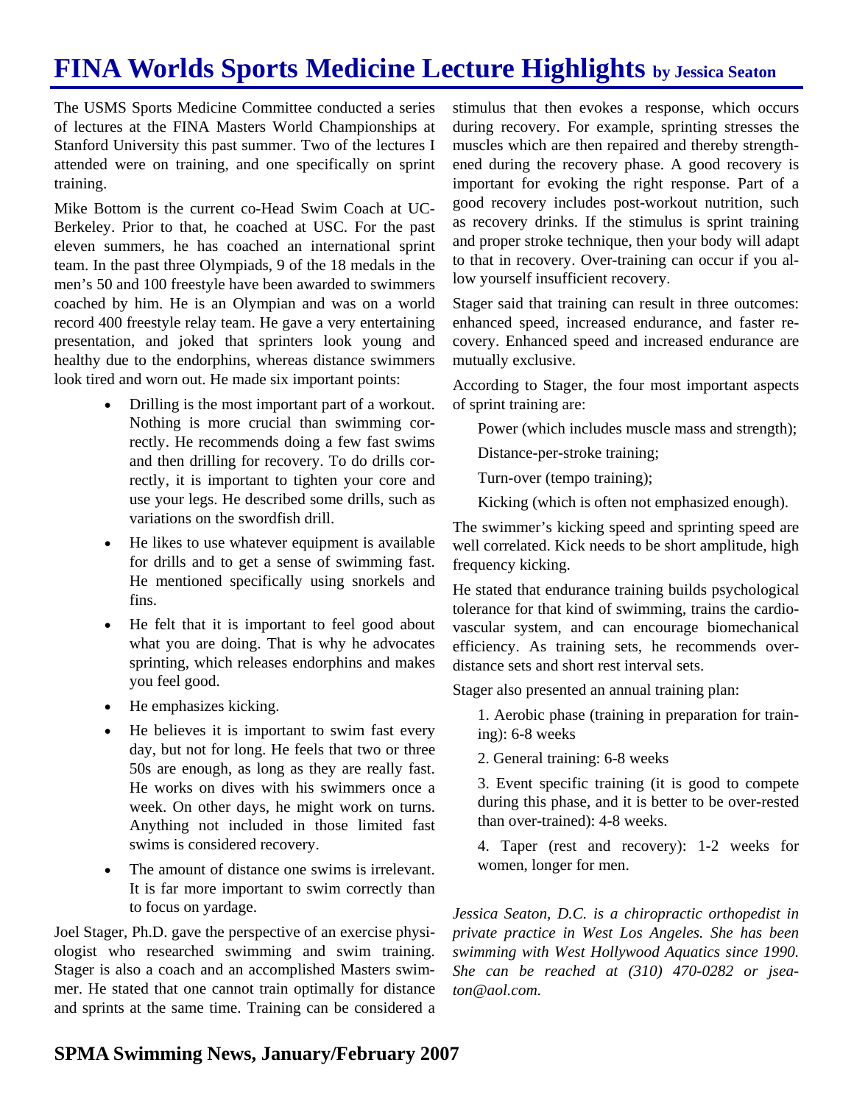## **FINA Worlds Sports Medicine Lecture Highlights by Jessica Seaton**

The USMS Sports Medicine Committee conducted a series of lectures at the FINA Masters World Championships at Stanford University this past summer. Two of the lectures I attended were on training, and one specifically on sprint training.

Mike Bottom is the current co-Head Swim Coach at UC-Berkeley. Prior to that, he coached at USC. For the past eleven summers, he has coached an international sprint team. In the past three Olympiads, 9 of the 18 medals in the men's 50 and 100 freestyle have been awarded to swimmers coached by him. He is an Olympian and was on a world record 400 freestyle relay team. He gave a very entertaining presentation, and joked that sprinters look young and healthy due to the endorphins, whereas distance swimmers look tired and worn out. He made six important points:

- Drilling is the most important part of a workout. Nothing is more crucial than swimming correctly. He recommends doing a few fast swims and then drilling for recovery. To do drills correctly, it is important to tighten your core and use your legs. He described some drills, such as variations on the swordfish drill.
- He likes to use whatever equipment is available for drills and to get a sense of swimming fast. He mentioned specifically using snorkels and fins.
- He felt that it is important to feel good about what you are doing. That is why he advocates sprinting, which releases endorphins and makes you feel good.
- He emphasizes kicking.
- He believes it is important to swim fast every day, but not for long. He feels that two or three 50s are enough, as long as they are really fast. He works on dives with his swimmers once a week. On other days, he might work on turns. Anything not included in those limited fast swims is considered recovery.
- The amount of distance one swims is irrelevant. It is far more important to swim correctly than to focus on yardage.

Joel Stager, Ph.D. gave the perspective of an exercise physiologist who researched swimming and swim training. Stager is also a coach and an accomplished Masters swimmer. He stated that one cannot train optimally for distance and sprints at the same time. Training can be considered a

stimulus that then evokes a response, which occurs during recovery. For example, sprinting stresses the muscles which are then repaired and thereby strengthened during the recovery phase. A good recovery is important for evoking the right response. Part of a good recovery includes post-workout nutrition, such as recovery drinks. If the stimulus is sprint training and proper stroke technique, then your body will adapt to that in recovery. Over-training can occur if you allow yourself insufficient recovery.

Stager said that training can result in three outcomes: enhanced speed, increased endurance, and faster recovery. Enhanced speed and increased endurance are mutually exclusive.

According to Stager, the four most important aspects of sprint training are:

Power (which includes muscle mass and strength);

Distance-per-stroke training;

Turn-over (tempo training);

Kicking (which is often not emphasized enough).

The swimmer's kicking speed and sprinting speed are well correlated. Kick needs to be short amplitude, high frequency kicking.

He stated that endurance training builds psychological tolerance for that kind of swimming, trains the cardiovascular system, and can encourage biomechanical efficiency. As training sets, he recommends overdistance sets and short rest interval sets.

Stager also presented an annual training plan:

1. Aerobic phase (training in preparation for training): 6-8 weeks

2. General training: 6-8 weeks

3. Event specific training (it is good to compete during this phase, and it is better to be over-rested than over-trained): 4-8 weeks.

4. Taper (rest and recovery): 1-2 weeks for women, longer for men.

*Jessica Seaton, D.C. is a chiropractic orthopedist in private practice in West Los Angeles. She has been swimming with West Hollywood Aquatics since 1990. She can be reached at (310) 470-0282 or jseaton@aol.com.*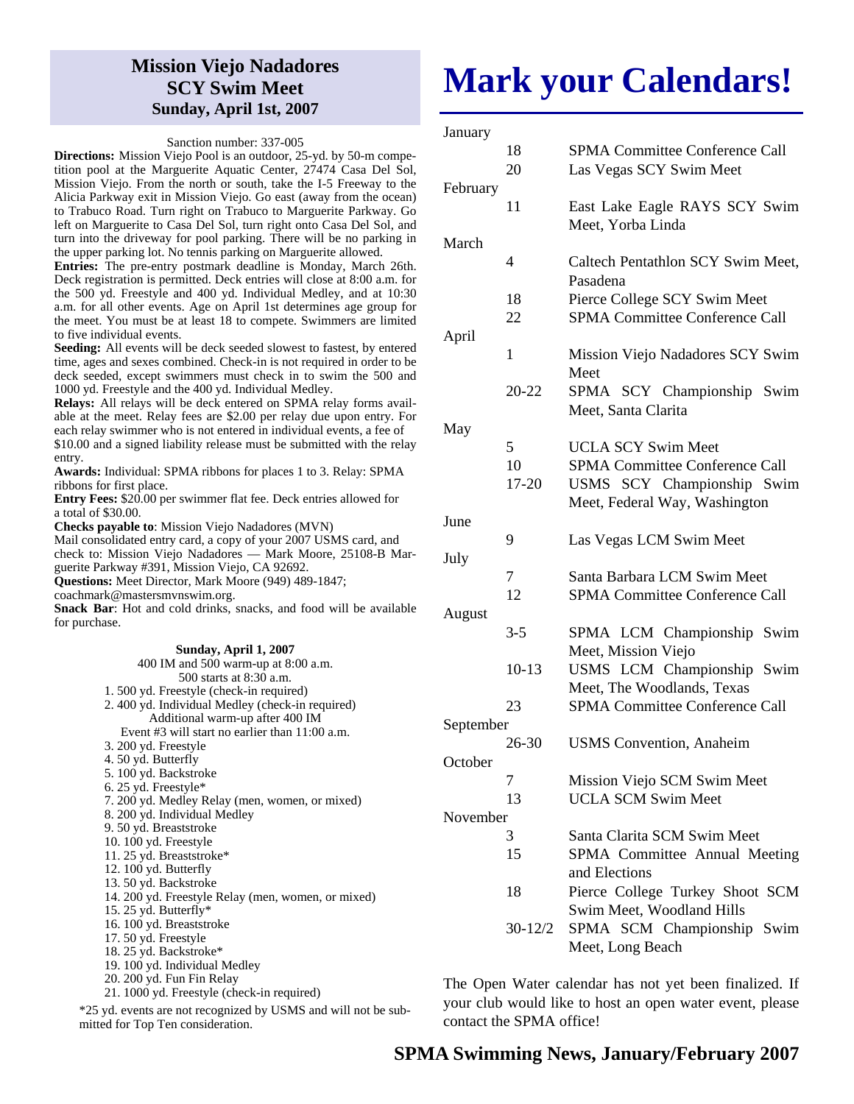### **Mission Viejo Nadadores SCY Swim Meet Sunday, April 1st, 2007**

#### Sanction number: 337-005

**Directions:** Mission Viejo Pool is an outdoor, 25-yd. by 50-m competition pool at the Marguerite Aquatic Center, 27474 Casa Del Sol, Mission Viejo. From the north or south, take the I-5 Freeway to the Alicia Parkway exit in Mission Viejo. Go east (away from the ocean) to Trabuco Road. Turn right on Trabuco to Marguerite Parkway. Go left on Marguerite to Casa Del Sol, turn right onto Casa Del Sol, and turn into the driveway for pool parking. There will be no parking in the upper parking lot. No tennis parking on Marguerite allowed.

**Entries:** The pre-entry postmark deadline is Monday, March 26th. Deck registration is permitted. Deck entries will close at 8:00 a.m. for the 500 yd. Freestyle and 400 yd. Individual Medley, and at 10:30 a.m. for all other events. Age on April 1st determines age group for the meet. You must be at least 18 to compete. Swimmers are limited to five individual events.

**Seeding:** All events will be deck seeded slowest to fastest, by entered time, ages and sexes combined. Check-in is not required in order to be deck seeded, except swimmers must check in to swim the 500 and 1000 yd. Freestyle and the 400 yd. Individual Medley.

**Relays:** All relays will be deck entered on SPMA relay forms available at the meet. Relay fees are \$2.00 per relay due upon entry. For each relay swimmer who is not entered in individual events, a fee of \$10.00 and a signed liability release must be submitted with the relay

entry. **Awards:** Individual: SPMA ribbons for places 1 to 3. Relay: SPMA ribbons for first place.

**Entry Fees:** \$20.00 per swimmer flat fee. Deck entries allowed for a total of \$30.00.

**Checks payable to**: Mission Viejo Nadadores (MVN)

Mail consolidated entry card, a copy of your 2007 USMS card, and check to: Mission Viejo Nadadores — Mark Moore, 25108-B Marguerite Parkway #391, Mission Viejo, CA 92692.

**Questions:** Meet Director, Mark Moore (949) 489-1847;

coachmark@mastersmvnswim.org.

**Snack Bar**: Hot and cold drinks, snacks, and food will be available for purchase.

| Sunday, April 1, 2007                                        |          |
|--------------------------------------------------------------|----------|
| 400 IM and 500 warm-up at 8:00 a.m.                          |          |
| 500 starts at 8:30 a.m.                                      |          |
| 1.500 yd. Freestyle (check-in required)                      |          |
| 2.400 yd. Individual Medley (check-in required)              |          |
| Additional warm-up after 400 IM                              |          |
| Event $#3$ will start no earlier than $11:00$ a.m.           | Septemb  |
| 3. 200 yd. Freestyle                                         |          |
| 4. 50 yd. Butterfly                                          | October  |
| 5. 100 yd. Backstroke                                        |          |
| 6. 25 yd. Freestyle $*$                                      |          |
| 7. 200 yd. Medley Relay (men, women, or mixed)               |          |
| 8. 200 yd. Individual Medley                                 | Novemb   |
| 9. 50 yd. Breaststroke                                       |          |
| 10. 100 yd. Freestyle                                        |          |
| 11.25 yd. Breaststroke*                                      |          |
| 12. 100 yd. Butterfly                                        |          |
| 13. 50 yd. Backstroke                                        |          |
| 14. 200 yd. Freestyle Relay (men, women, or mixed)           |          |
| 15. 25 yd. Butterfly $*$                                     |          |
| 16. 100 yd. Breaststroke                                     |          |
| 17. 50 yd. Freestyle                                         |          |
| 18. 25 yd. Backstroke*                                       |          |
| 19. 100 yd. Individual Medley                                |          |
| 20. 200 yd. Fun Fin Relay                                    | The Op   |
| 21. 1000 yd. Freestyle (check-in required)                   |          |
| 5 yd. events are not recognized by USMS and will not be sub- | your clu |

\*25 yd. events are not recognized by USMS and will not be submitted for Top Ten consideration.

# **Mark your Calendars!**

| January   |         |                                       |
|-----------|---------|---------------------------------------|
|           | 18      | <b>SPMA Committee Conference Call</b> |
|           | 20      | Las Vegas SCY Swim Meet               |
| February  |         |                                       |
|           | 11      | East Lake Eagle RAYS SCY Swim         |
|           |         | Meet, Yorba Linda                     |
| March     |         |                                       |
|           | 4       | Caltech Pentathlon SCY Swim Meet,     |
|           |         |                                       |
|           |         | Pasadena                              |
|           | 18      | Pierce College SCY Swim Meet          |
|           | 22      | SPMA Committee Conference Call        |
| April     |         |                                       |
|           | 1       | Mission Viejo Nadadores SCY Swim      |
|           |         | Meet                                  |
|           | 20-22   | SPMA SCY Championship Swim            |
|           |         | Meet, Santa Clarita                   |
| May       |         |                                       |
|           | 5       | <b>UCLA SCY Swim Meet</b>             |
|           | 10      | <b>SPMA Committee Conference Call</b> |
|           | 17-20   | USMS SCY Championship Swim            |
|           |         | Meet, Federal Way, Washington         |
| June      |         |                                       |
|           | 9       | Las Vegas LCM Swim Meet               |
| July      |         |                                       |
|           | 7       | Santa Barbara LCM Swim Meet           |
|           | 12      | <b>SPMA Committee Conference Call</b> |
|           |         |                                       |
| August    |         |                                       |
|           | $3 - 5$ | SPMA LCM Championship Swim            |
|           |         | Meet, Mission Viejo                   |
|           | $10-13$ | USMS LCM Championship Swim            |
|           |         | Meet, The Woodlands, Texas            |
|           | 23      | <b>SPMA Committee Conference Call</b> |
| September |         |                                       |
|           | 26-30   | <b>USMS</b> Convention, Anaheim       |
| October   |         |                                       |
|           | 7       | Mission Viejo SCM Swim Meet           |
|           | 13      | <b>UCLA SCM Swim Meet</b>             |
| November  |         |                                       |
|           | 3       | Santa Clarita SCM Swim Meet           |
|           | 15      | SPMA Committee Annual Meeting         |
|           |         | and Elections                         |
|           |         |                                       |
|           | 18      | Pierce College Turkey Shoot SCM       |
|           |         | Swim Meet, Woodland Hills             |
|           | 30-12/2 | SPMA SCM Championship Swim            |
|           |         | Meet, Long Beach                      |

en Water calendar has not yet been finalized. If b would like to host an open water event, please contact the SPMA office!